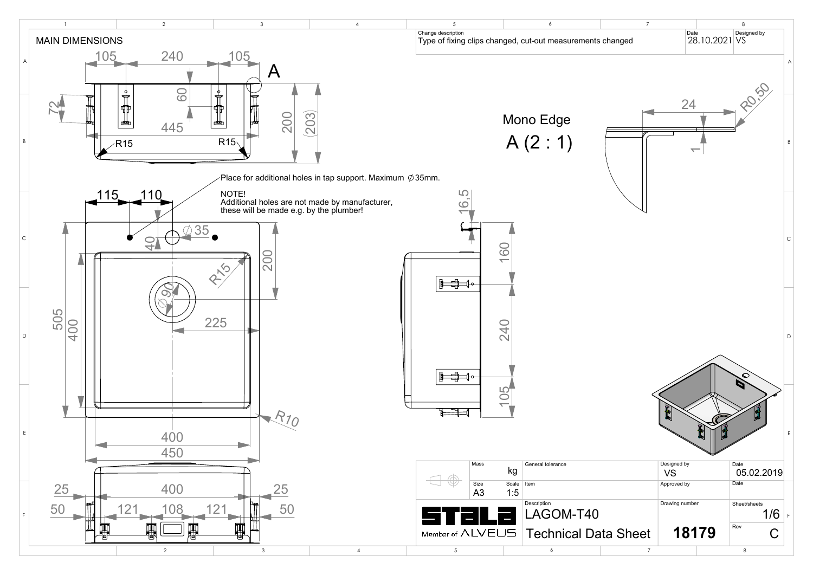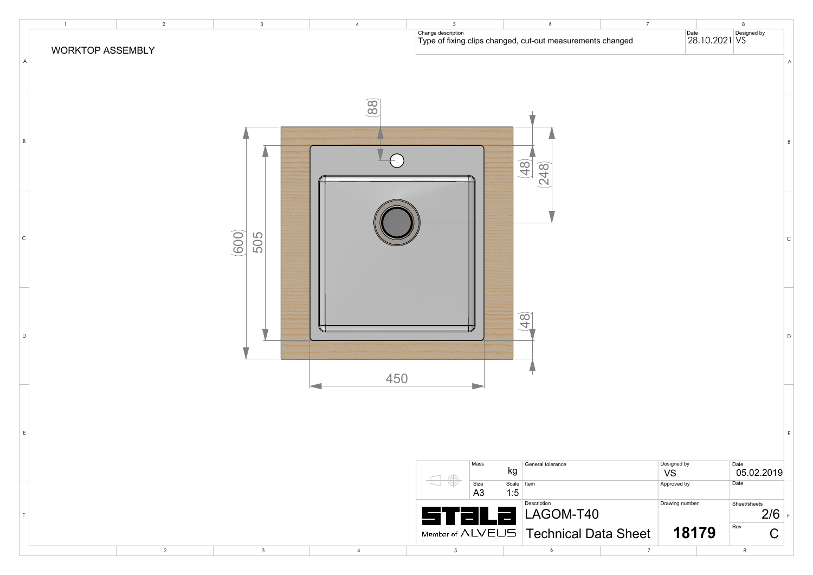|                |                         | $\overline{2}$ | $\mathbf{3}$ |                |                                                               | $\overline{7}$<br>6                                                                             |                                            | 8                                           |
|----------------|-------------------------|----------------|--------------|----------------|---------------------------------------------------------------|-------------------------------------------------------------------------------------------------|--------------------------------------------|---------------------------------------------|
| $\overline{A}$ | <b>WORKTOP ASSEMBLY</b> |                |              |                |                                                               | Change description<br>Type of fixing clips changed, cut-out measurements changed                | Date<br>28.10.2021 VS                      |                                             |
|                |                         |                |              |                |                                                               |                                                                                                 |                                            |                                             |
| B              |                         |                |              | $\boxed{88}$   |                                                               | $\overline{48}$<br>248                                                                          |                                            |                                             |
| $\mathsf C$    |                         |                | (600)<br>505 |                |                                                               |                                                                                                 |                                            |                                             |
| $\mathsf D$    |                         |                |              |                |                                                               | $\boxed{48}$                                                                                    |                                            |                                             |
|                |                         |                |              | 450            |                                                               |                                                                                                 |                                            |                                             |
| $\mathsf E$    |                         |                |              |                | Mass                                                          | General tolerance                                                                               | Designed by                                | Date                                        |
|                |                         |                |              |                | $\circledcirc$<br>$\overline{\phantom{0}}$<br>$rac{size}{A3}$ | kg<br>Scale   Item<br>1:5<br>Description                                                        | <b>VS</b><br>Approved by<br>Drawing number | 05.02.2019<br>Date<br>Sheet/sheets          |
| $\mathsf F$    |                         | $\overline{2}$ | $\mathbf{3}$ | $\overline{4}$ | $5\phantom{.0}$                                               | STELE LAGOM-T40<br>Member of ALVEUS   Technical Data Sheet<br>$\overline{6}$<br>$7\overline{ }$ | 18179                                      | 2/6<br>Rev<br>$\mathsf C$<br>$8\phantom{.}$ |
|                |                         |                |              |                |                                                               |                                                                                                 |                                            |                                             |

| $\overline{7}$ |                          |                      | $\,8\,$               |              |
|----------------|--------------------------|----------------------|-----------------------|--------------|
|                |                          | Date<br>$28.10.2021$ | Designed by<br>VS     |              |
| anged          |                          |                      |                       |              |
|                |                          |                      |                       | A            |
|                |                          |                      |                       |              |
|                |                          |                      |                       |              |
|                |                          |                      |                       |              |
|                |                          |                      |                       |              |
|                |                          |                      |                       |              |
|                |                          |                      |                       |              |
|                |                          |                      |                       | $\sf B$      |
|                |                          |                      |                       |              |
|                |                          |                      |                       |              |
|                |                          |                      |                       |              |
|                |                          |                      |                       |              |
|                |                          |                      |                       |              |
|                |                          |                      |                       |              |
|                |                          |                      |                       | $\mathsf{C}$ |
|                |                          |                      |                       |              |
|                |                          |                      |                       |              |
|                |                          |                      |                       |              |
|                |                          |                      |                       |              |
|                |                          |                      |                       |              |
|                |                          |                      |                       |              |
|                |                          |                      |                       |              |
|                |                          |                      |                       | D            |
|                |                          |                      |                       |              |
|                |                          |                      |                       |              |
|                |                          |                      |                       |              |
|                |                          |                      |                       |              |
|                |                          |                      |                       |              |
|                |                          |                      |                       |              |
|                |                          |                      |                       |              |
|                |                          |                      |                       | E            |
|                |                          |                      |                       |              |
|                |                          |                      |                       |              |
|                | Designed by<br><b>VS</b> |                      | Date<br>05.02.2019    |              |
|                | Approved by              |                      | Date                  |              |
|                |                          |                      |                       |              |
|                | Drawing number           |                      | Sheet/sheets          |              |
|                |                          |                      | 2/6                   |              |
| <b>Sheet</b>   |                          | 18179                | Rev<br>$\overline{C}$ |              |
|                |                          |                      |                       |              |
| $\overline{7}$ |                          |                      | 8                     |              |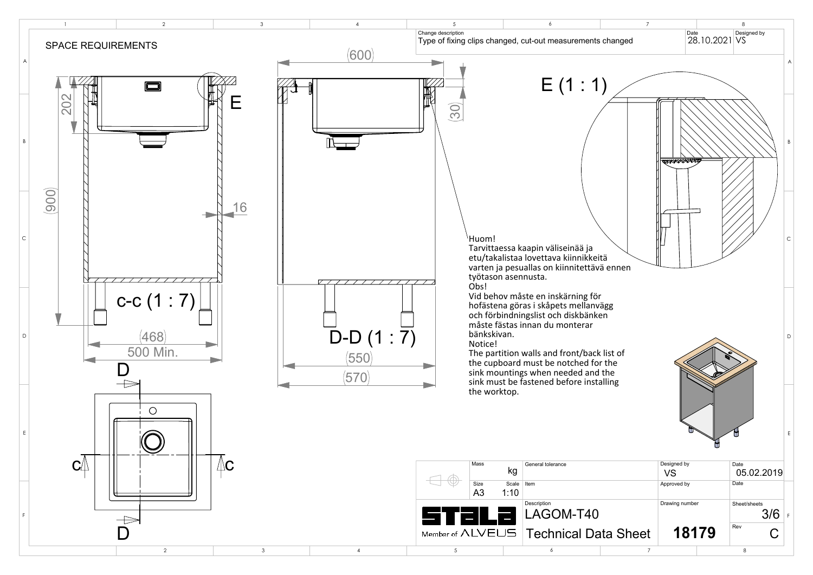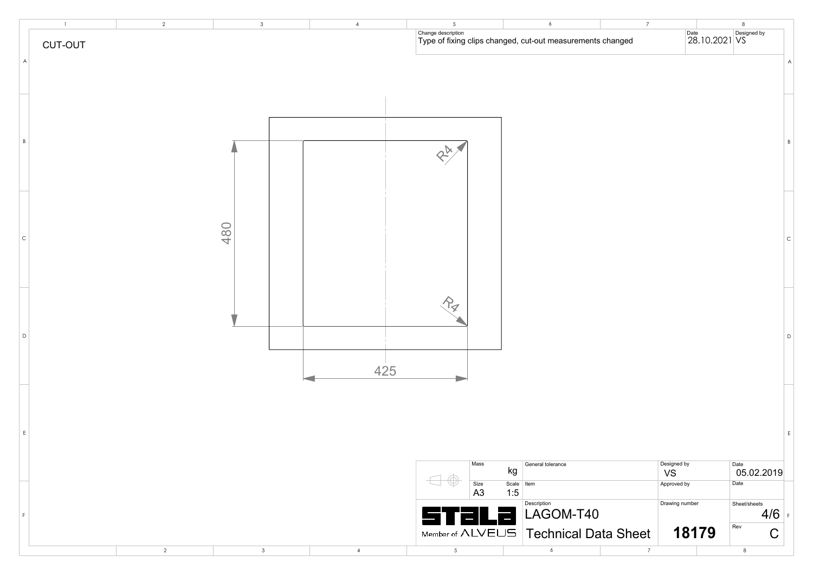

| $\overline{7}$ |                          |                    | $\,8\,$                        |                 |                           |
|----------------|--------------------------|--------------------|--------------------------------|-----------------|---------------------------|
| anged          |                          | Date<br>28.10.2021 | Designed by<br>VS <sub>1</sub> |                 |                           |
|                |                          |                    |                                |                 | $\boldsymbol{\mathsf{A}}$ |
|                |                          |                    |                                |                 | $\sf B$                   |
|                |                          |                    |                                |                 | $\mathsf C$               |
|                |                          |                    |                                |                 | D                         |
|                | Designed by              |                    | Date                           |                 | E                         |
|                | <b>VS</b><br>Approved by |                    | 05.02.2019<br>Date             |                 |                           |
|                | Drawing number           |                    | Sheet/sheets<br>Rev            | $\frac{4/6}{C}$ |                           |
| <b>Sheet</b>   |                          | 18179              |                                |                 |                           |
| 7              |                          |                    | 8                              |                 |                           |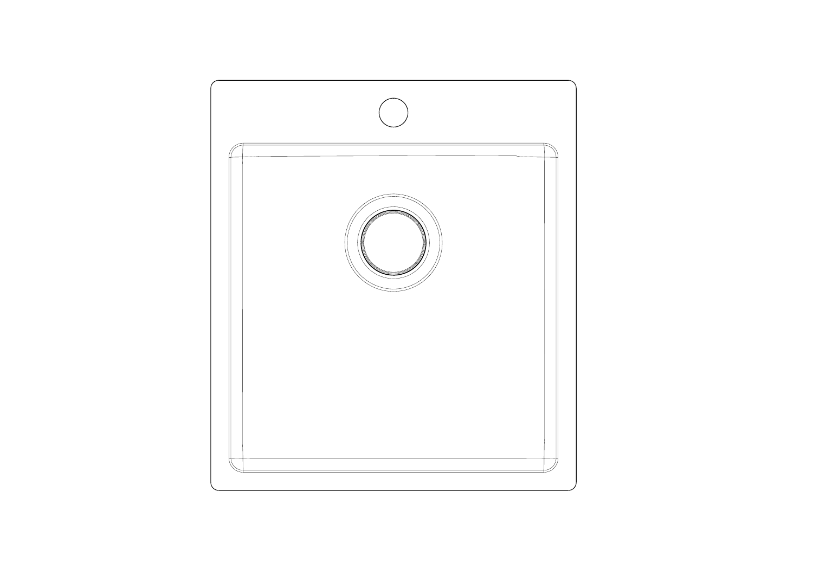